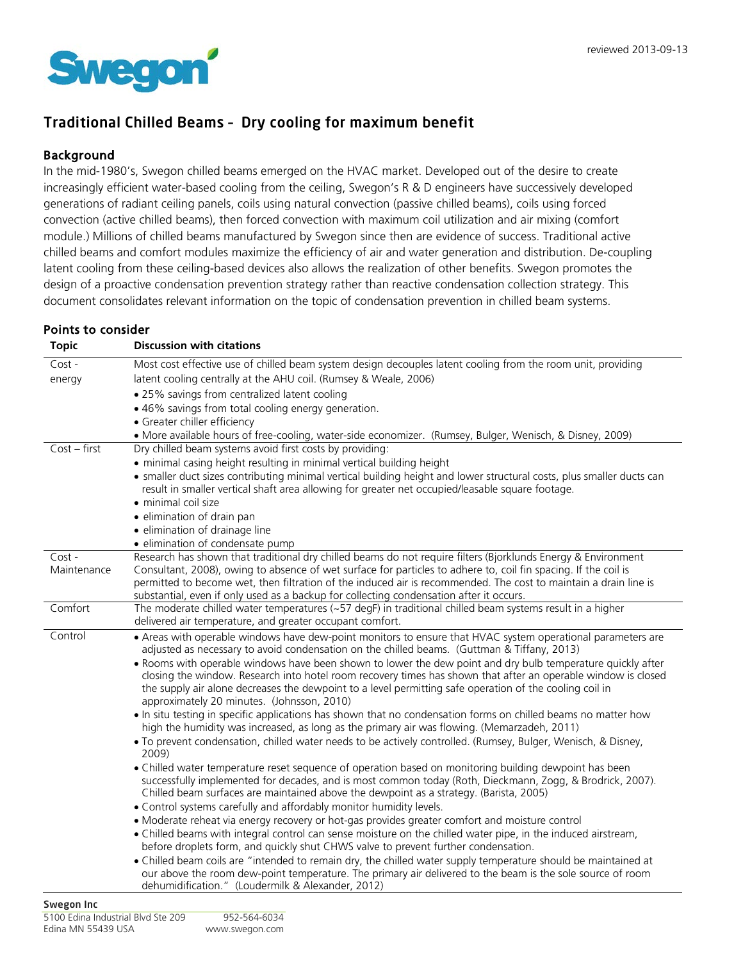

## Traditional Chilled Beams – Dry cooling for maximum benefit

## Background

In the mid-1980's, Swegon chilled beams emerged on the HVAC market. Developed out of the desire to create increasingly efficient water-based cooling from the ceiling, Swegon's R & D engineers have successively developed generations of radiant ceiling panels, coils using natural convection (passive chilled beams), coils using forced convection (active chilled beams), then forced convection with maximum coil utilization and air mixing (comfort module.) Millions of chilled beams manufactured by Swegon since then are evidence of success. Traditional active chilled beams and comfort modules maximize the efficiency of air and water generation and distribution. De-coupling latent cooling from these ceiling-based devices also allows the realization of other benefits. Swegon promotes the design of a proactive condensation prevention strategy rather than reactive condensation collection strategy. This document consolidates relevant information on the topic of condensation prevention in chilled beam systems.

## Points to consider

| <b>Topic</b>   | <b>Discussion with citations</b>                                                                                                                                                                            |
|----------------|-------------------------------------------------------------------------------------------------------------------------------------------------------------------------------------------------------------|
| Cost -         | Most cost effective use of chilled beam system design decouples latent cooling from the room unit, providing                                                                                                |
| energy         | latent cooling centrally at the AHU coil. (Rumsey & Weale, 2006)                                                                                                                                            |
|                | . 25% savings from centralized latent cooling                                                                                                                                                               |
|                | • 46% savings from total cooling energy generation.                                                                                                                                                         |
|                | • Greater chiller efficiency                                                                                                                                                                                |
|                | · More available hours of free-cooling, water-side economizer. (Rumsey, Bulger, Wenisch, & Disney, 2009)                                                                                                    |
| $Cost - first$ | Dry chilled beam systems avoid first costs by providing:                                                                                                                                                    |
|                | • minimal casing height resulting in minimal vertical building height                                                                                                                                       |
|                | • smaller duct sizes contributing minimal vertical building height and lower structural costs, plus smaller ducts can                                                                                       |
|                | result in smaller vertical shaft area allowing for greater net occupied/leasable square footage.                                                                                                            |
|                | $\bullet$ minimal coil size                                                                                                                                                                                 |
|                | · elimination of drain pan                                                                                                                                                                                  |
|                | · elimination of drainage line                                                                                                                                                                              |
|                | · elimination of condensate pump                                                                                                                                                                            |
| Cost -         | Research has shown that traditional dry chilled beams do not require filters (Bjorklunds Energy & Environment                                                                                               |
| Maintenance    | Consultant, 2008), owing to absence of wet surface for particles to adhere to, coil fin spacing. If the coil is                                                                                             |
|                | permitted to become wet, then filtration of the induced air is recommended. The cost to maintain a drain line is<br>substantial, even if only used as a backup for collecting condensation after it occurs. |
| Comfort        | The moderate chilled water temperatures $(-57 \text{ degF})$ in traditional chilled beam systems result in a higher                                                                                         |
|                | delivered air temperature, and greater occupant comfort.                                                                                                                                                    |
| Control        | . Areas with operable windows have dew-point monitors to ensure that HVAC system operational parameters are                                                                                                 |
|                | adjusted as necessary to avoid condensation on the chilled beams. (Guttman & Tiffany, 2013)                                                                                                                 |
|                | . Rooms with operable windows have been shown to lower the dew point and dry bulb temperature quickly after                                                                                                 |
|                | closing the window. Research into hotel room recovery times has shown that after an operable window is closed                                                                                               |
|                | the supply air alone decreases the dewpoint to a level permitting safe operation of the cooling coil in                                                                                                     |
|                | approximately 20 minutes. (Johnsson, 2010)                                                                                                                                                                  |
|                | • In situ testing in specific applications has shown that no condensation forms on chilled beams no matter how                                                                                              |
|                | high the humidity was increased, as long as the primary air was flowing. (Memarzadeh, 2011)                                                                                                                 |
|                | . To prevent condensation, chilled water needs to be actively controlled. (Rumsey, Bulger, Wenisch, & Disney,<br>2009)                                                                                      |
|                | • Chilled water temperature reset sequence of operation based on monitoring building dewpoint has been                                                                                                      |
|                | successfully implemented for decades, and is most common today (Roth, Dieckmann, Zogg, & Brodrick, 2007).                                                                                                   |
|                | Chilled beam surfaces are maintained above the dewpoint as a strategy. (Barista, 2005)                                                                                                                      |
|                | . Control systems carefully and affordably monitor humidity levels.                                                                                                                                         |
|                | • Moderate reheat via energy recovery or hot-gas provides greater comfort and moisture control                                                                                                              |
|                | . Chilled beams with integral control can sense moisture on the chilled water pipe, in the induced airstream,                                                                                               |
|                | before droplets form, and quickly shut CHWS valve to prevent further condensation.                                                                                                                          |
|                | . Chilled beam coils are "intended to remain dry, the chilled water supply temperature should be maintained at                                                                                              |
|                | our above the room dew-point temperature. The primary air delivered to the beam is the sole source of room                                                                                                  |
|                | dehumidification." (Loudermilk & Alexander, 2012)                                                                                                                                                           |